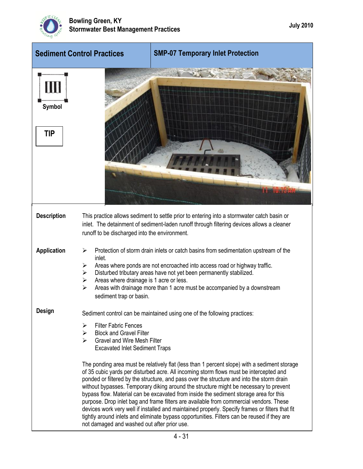

| <b>Sediment Control Practices</b> |                                                                                                                                                                                                                         | <b>SMP-07 Temporary Inlet Protection</b>                                                                                                                                                                                                                                                                                                                                                                                                                                                                                                                                                                                                                                                                                                                                                                                                      |
|-----------------------------------|-------------------------------------------------------------------------------------------------------------------------------------------------------------------------------------------------------------------------|-----------------------------------------------------------------------------------------------------------------------------------------------------------------------------------------------------------------------------------------------------------------------------------------------------------------------------------------------------------------------------------------------------------------------------------------------------------------------------------------------------------------------------------------------------------------------------------------------------------------------------------------------------------------------------------------------------------------------------------------------------------------------------------------------------------------------------------------------|
| <b>Symbol</b><br><b>TIP</b>       |                                                                                                                                                                                                                         |                                                                                                                                                                                                                                                                                                                                                                                                                                                                                                                                                                                                                                                                                                                                                                                                                                               |
| <b>Description</b>                | runoff to be discharged into the environment.                                                                                                                                                                           | This practice allows sediment to settle prior to entering into a stormwater catch basin or<br>inlet. The detainment of sediment-laden runoff through filtering devices allows a cleaner                                                                                                                                                                                                                                                                                                                                                                                                                                                                                                                                                                                                                                                       |
| <b>Application</b>                | ⋗<br>inlet.<br>➤<br>➤<br>Areas where drainage is 1 acre or less.<br>➤<br>⋗<br>sediment trap or basin.                                                                                                                   | Protection of storm drain inlets or catch basins from sedimentation upstream of the<br>Areas where ponds are not encroached into access road or highway traffic.<br>Disturbed tributary areas have not yet been permanently stabilized.<br>Areas with drainage more than 1 acre must be accompanied by a downstream                                                                                                                                                                                                                                                                                                                                                                                                                                                                                                                           |
| Design                            | <b>Filter Fabric Fences</b><br>➤<br><b>Block and Gravel Filter</b><br>➤<br>Gravel and Wire Mesh Filter<br>$\blacktriangleright$<br><b>Excavated Inlet Sediment Traps</b><br>not damaged and washed out after prior use. | Sediment control can be maintained using one of the following practices:<br>The ponding area must be relatively flat (less than 1 percent slope) with a sediment storage<br>of 35 cubic yards per disturbed acre. All incoming storm flows must be intercepted and<br>ponded or filtered by the structure, and pass over the structure and into the storm drain<br>without bypasses. Temporary diking around the structure might be necessary to prevent<br>bypass flow. Material can be excavated from inside the sediment storage area for this<br>purpose. Drop inlet bag and frame filters are available from commercial vendors. These<br>devices work very well if installed and maintained properly. Specify frames or filters that fit<br>tightly around inlets and eliminate bypass opportunities. Filters can be reused if they are |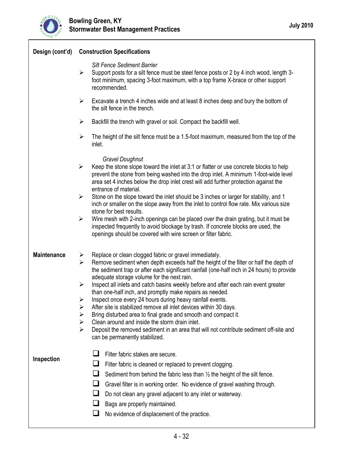

| Design (cont'd)    | <b>Construction Specifications</b>                                                                                                                                                                                                                                                                                                                                                                                                                                                                                                                                                                                                                                                                                                                                                                                                |  |  |
|--------------------|-----------------------------------------------------------------------------------------------------------------------------------------------------------------------------------------------------------------------------------------------------------------------------------------------------------------------------------------------------------------------------------------------------------------------------------------------------------------------------------------------------------------------------------------------------------------------------------------------------------------------------------------------------------------------------------------------------------------------------------------------------------------------------------------------------------------------------------|--|--|
|                    | <b>Silt Fence Sediment Barrier</b><br>Support posts for a silt fence must be steel fence posts or 2 by 4 inch wood, length 3-<br>$\blacktriangleright$<br>foot minimum, spacing 3-foot maximum, with a top frame X-brace or other support<br>recommended.                                                                                                                                                                                                                                                                                                                                                                                                                                                                                                                                                                         |  |  |
|                    | $\blacktriangleright$<br>Excavate a trench 4 inches wide and at least 8 inches deep and bury the bottom of<br>the silt fence in the trench.                                                                                                                                                                                                                                                                                                                                                                                                                                                                                                                                                                                                                                                                                       |  |  |
|                    | Backfill the trench with gravel or soil. Compact the backfill well.<br>➤                                                                                                                                                                                                                                                                                                                                                                                                                                                                                                                                                                                                                                                                                                                                                          |  |  |
|                    | $\blacktriangleright$<br>The height of the silt fence must be a 1.5-foot maximum, measured from the top of the<br>inlet.                                                                                                                                                                                                                                                                                                                                                                                                                                                                                                                                                                                                                                                                                                          |  |  |
|                    | <b>Gravel Doughnut</b><br>Keep the stone slope toward the inlet at 3:1 or flatter or use concrete blocks to help<br>$\blacktriangleright$<br>prevent the stone from being washed into the drop inlet. A minimum 1-foot-wide level<br>area set 4 inches below the drop inlet crest will add further protection against the<br>entrance of material.                                                                                                                                                                                                                                                                                                                                                                                                                                                                                |  |  |
|                    | Stone on the slope toward the inlet should be 3 inches or larger for stability, and 1<br>$\blacktriangleright$<br>inch or smaller on the slope away from the inlet to control flow rate. Mix various size<br>stone for best results.                                                                                                                                                                                                                                                                                                                                                                                                                                                                                                                                                                                              |  |  |
|                    | Wire mesh with 2-inch openings can be placed over the drain grating, but it must be<br>$\blacktriangleright$<br>inspected frequently to avoid blockage by trash. If concrete blocks are used, the<br>openings should be covered with wire screen or filter fabric.                                                                                                                                                                                                                                                                                                                                                                                                                                                                                                                                                                |  |  |
| <b>Maintenance</b> | Replace or clean clogged fabric or gravel immediately.<br>Remove sediment when depth exceeds half the height of the filter or half the depth of<br>the sediment trap or after each significant rainfall (one-half inch in 24 hours) to provide<br>adequate storage volume for the next rain.<br>Inspect all inlets and catch basins weekly before and after each rain event greater<br>than one-half inch, and promptly make repairs as needed.<br>Inspect once every 24 hours during heavy rainfall events.<br>After site is stabilized remove all inlet devices within 30 days.<br>Bring disturbed area to final grade and smooth and compact it.<br>Clean around and inside the storm drain inlet.<br>Deposit the removed sediment in an area that will not contribute sediment off-site and<br>can be permanently stabilized. |  |  |
| Inspection         | Filter fabric stakes are secure.<br>⊔<br>Filter fabric is cleaned or replaced to prevent clogging.<br>ப<br>Sediment from behind the fabric less than $\frac{1}{2}$ the height of the silt fence.<br>ப<br>Gravel filter is in working order. No evidence of gravel washing through.<br>❏<br>Do not clean any gravel adjacent to any inlet or waterway.<br>⊔<br>Bags are properly maintained.<br>No evidence of displacement of the practice.                                                                                                                                                                                                                                                                                                                                                                                       |  |  |